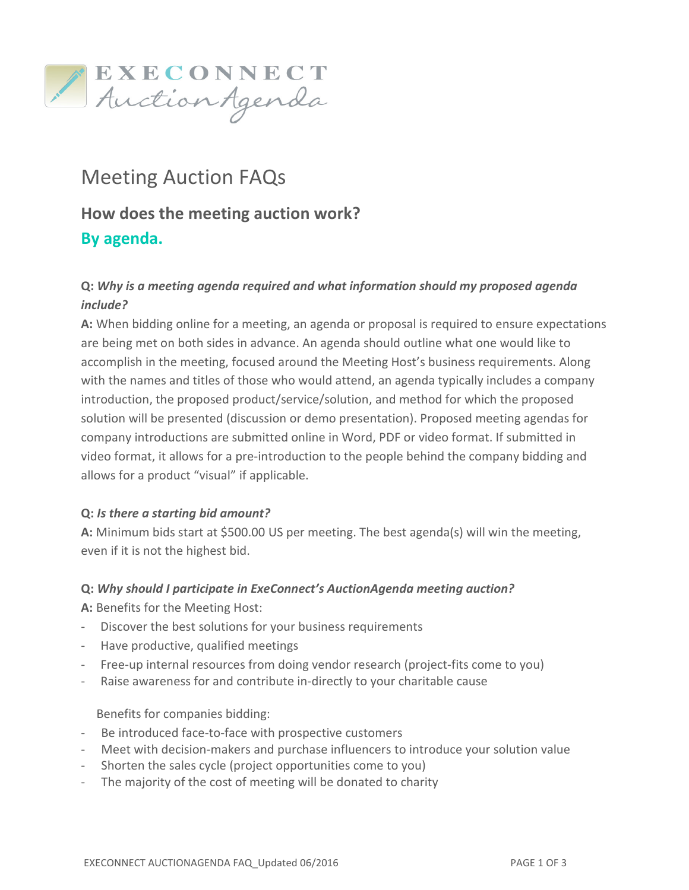

# Meeting Auction FAQs How does the meeting auction work? By agenda.

## Q: Why is a meeting agenda required and what information should my proposed agenda include?

A: When bidding online for a meeting, an agenda or proposal is required to ensure expectations are being met on both sides in advance. An agenda should outline what one would like to accomplish in the meeting, focused around the Meeting Host's business requirements. Along with the names and titles of those who would attend, an agenda typically includes a company introduction, the proposed product/service/solution, and method for which the proposed solution will be presented (discussion or demo presentation). Proposed meeting agendas for company introductions are submitted online in Word, PDF or video format. If submitted in video format, it allows for a pre-introduction to the people behind the company bidding and allows for a product "visual" if applicable.

## Q: Is there a starting bid amount?

A: Minimum bids start at \$500.00 US per meeting. The best agenda(s) will win the meeting, even if it is not the highest bid.

## Q: Why should I participate in ExeConnect's AuctionAgenda meeting auction?

A: Benefits for the Meeting Host:

- Discover the best solutions for your business requirements
- Have productive, qualified meetings
- Free-up internal resources from doing vendor research (project-fits come to you)
- Raise awareness for and contribute in-directly to your charitable cause

#### Benefits for companies bidding:

- Be introduced face-to-face with prospective customers
- Meet with decision-makers and purchase influencers to introduce your solution value
- Shorten the sales cycle (project opportunities come to you)
- The majority of the cost of meeting will be donated to charity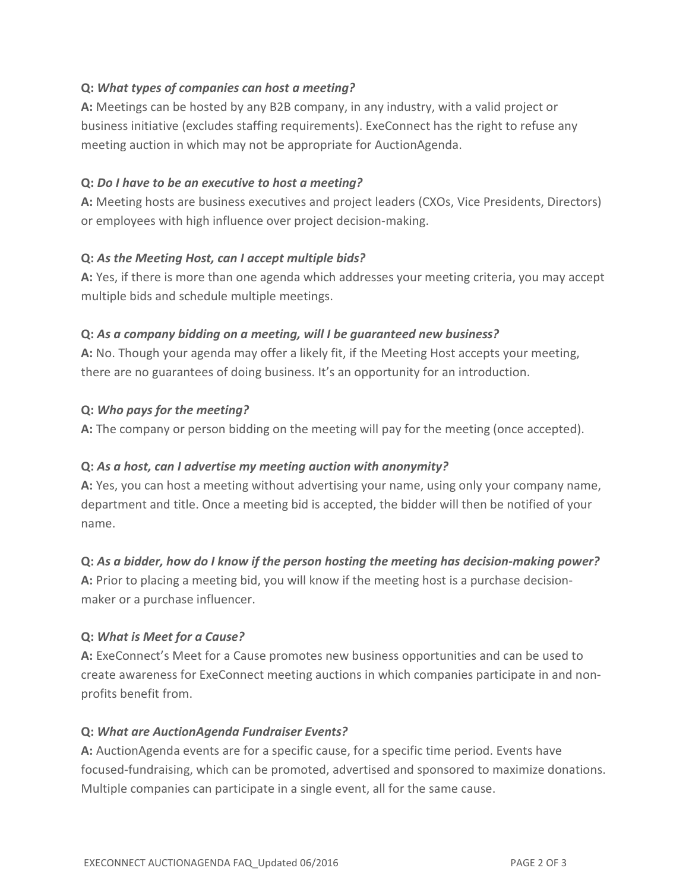## Q: What types of companies can host a meeting?

A: Meetings can be hosted by any B2B company, in any industry, with a valid project or business initiative (excludes staffing requirements). ExeConnect has the right to refuse any meeting auction in which may not be appropriate for AuctionAgenda.

### Q: Do I have to be an executive to host a meeting?

A: Meeting hosts are business executives and project leaders (CXOs, Vice Presidents, Directors) or employees with high influence over project decision-making.

#### Q: As the Meeting Host, can I accept multiple bids?

A: Yes, if there is more than one agenda which addresses your meeting criteria, you may accept multiple bids and schedule multiple meetings.

#### Q: As a company bidding on a meeting, will I be guaranteed new business?

A: No. Though your agenda may offer a likely fit, if the Meeting Host accepts your meeting, there are no guarantees of doing business. It's an opportunity for an introduction.

#### Q: Who pays for the meeting?

A: The company or person bidding on the meeting will pay for the meeting (once accepted).

## Q: As a host, can I advertise my meeting auction with anonymity?

A: Yes, you can host a meeting without advertising your name, using only your company name, department and title. Once a meeting bid is accepted, the bidder will then be notified of your name.

## Q: As a bidder, how do I know if the person hosting the meeting has decision-making power?

A: Prior to placing a meeting bid, you will know if the meeting host is a purchase decisionmaker or a purchase influencer.

## Q: What is Meet for a Cause?

A: ExeConnect's Meet for a Cause promotes new business opportunities and can be used to create awareness for ExeConnect meeting auctions in which companies participate in and nonprofits benefit from.

#### Q: What are AuctionAgenda Fundraiser Events?

A: AuctionAgenda events are for a specific cause, for a specific time period. Events have focused-fundraising, which can be promoted, advertised and sponsored to maximize donations. Multiple companies can participate in a single event, all for the same cause.